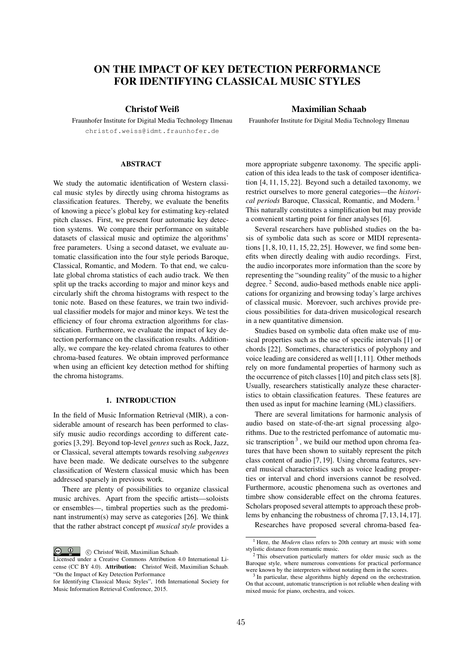# ON THE IMPACT OF KEY DETECTION PERFORMANCE FOR IDENTIFYING CLASSICAL MUSIC STYLES

# Christof Weiß

Fraunhofer Institute for Digital Media Technology Ilmenau christof.weiss@idmt.fraunhofer.de

# **ABSTRACT**

We study the automatic identification of Western classical music styles by directly using chroma histograms as classification features. Thereby, we evaluate the benefits of knowing a piece's global key for estimating key-related pitch classes. First, we present four automatic key detection systems. We compare their performance on suitable datasets of classical music and optimize the algorithms' free parameters. Using a second dataset, we evaluate automatic classification into the four style periods Baroque, Classical, Romantic, and Modern. To that end, we calculate global chroma statistics of each audio track. We then split up the tracks according to major and minor keys and circularly shift the chroma histograms with respect to the tonic note. Based on these features, we train two individual classifier models for major and minor keys. We test the efficiency of four chroma extraction algorithms for classification. Furthermore, we evaluate the impact of key detection performance on the classification results. Additionally, we compare the key-related chroma features to other chroma-based features. We obtain improved performance when using an efficient key detection method for shifting the chroma histograms.

# 1. INTRODUCTION

In the field of Music Information Retrieval (MIR), a considerable amount of research has been performed to classify music audio recordings according to different categories [3,29]. Beyond top-level *genres* such as Rock, Jazz, or Classical, several attempts towards resolving *subgenres* have been made. We dedicate ourselves to the subgenre classification of Western classical music which has been addressed sparsely in previous work.

There are plenty of possibilities to organize classical music archives. Apart from the specific artists—soloists or ensembles—, timbral properties such as the predominant instrument(s) may serve as categories [26]. We think that the rather abstract concept pf *musical style* provides a

 $\circ$   $\circ$ c Christof Weiß, Maximilian Schaab.

# Maximilian Schaab

Fraunhofer Institute for Digital Media Technology Ilmenau

more appropriate subgenre taxonomy. The specific application of this idea leads to the task of composer identification [4, 11, 15, 22]. Beyond such a detailed taxonomy, we restrict ourselves to more general categories—the *historical periods* Baroque, Classical, Romantic, and Modern. <sup>1</sup> This naturally constitutes a simplification but may provide a convenient starting point for finer analyses [6].

Several researchers have published studies on the basis of symbolic data such as score or MIDI representations [1, 8, 10, 11, 15, 22, 25]. However, we find some benefits when directly dealing with audio recordings. First, the audio incorporates more information than the score by representing the "sounding reality" of the music to a higher degree. <sup>2</sup> Second, audio-based methods enable nice applications for organizing and browsing today's large archives of classical music. Morevoer, such archives provide precious possibilities for data-driven musicological research in a new quantitative dimension.

Studies based on symbolic data often make use of musical properties such as the use of specific intervals [1] or chords [22]. Sometimes, characteristics of polyphony and voice leading are considered as well [1,11]. Other methods rely on more fundamental properties of harmony such as the occurrence of pitch classes [10] and pitch class sets [8]. Usually, researchers statistically analyze these characteristics to obtain classification features. These features are then used as input for machine learning (ML) classifiers.

There are several limitations for harmonic analysis of audio based on state-of-the-art signal processing algorithms. Due to the restricted perfomance of automatic music transcription  $3$ , we build our method upon chroma features that have been shown to suitably represent the pitch class content of audio [7, 19]. Using chroma features, several musical characteristics such as voice leading properties or interval and chord inversions cannot be resolved. Furthermore, acoustic phenomena such as overtones and timbre show considerable effect on the chroma features. Scholars proposed several attempts to approach these problems by enhancing the robustness of chroma [7,13,14,17].

Researches have proposed several chroma-based fea-

Licensed under a Creative Commons Attribution 4.0 International License (CC BY 4.0). Attribution: Christof Weiß, Maximilian Schaab. "On the Impact of Key Detection Performance

for Identifying Classical Music Styles", 16th International Society for Music Information Retrieval Conference, 2015.

<sup>&</sup>lt;sup>1</sup> Here, the *Modern* class refers to 20th century art music with some stylistic distance from romantic music.

 $2$  This observation particularly matters for older music such as the Baroque style, where numerous conventions for practical performance were known by the interpreters without notating them in the scores.

<sup>&</sup>lt;sup>3</sup> In particular, these algorithms highly depend on the orchestration. On that account, automatic transcription is not reliable when dealing with mixed music for piano, orchestra, and voices.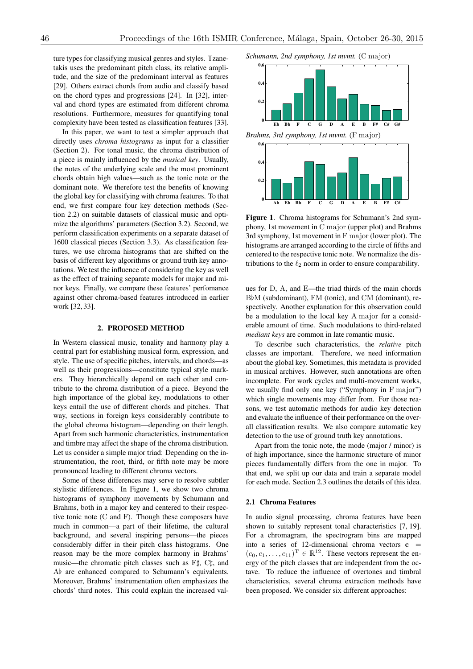ture types for classifying musical genres and styles. Tzanetakis uses the predominant pitch class, its relative amplitude, and the size of the predominant interval as features [29]. Others extract chords from audio and classify based on the chord types and progressions [24]. In [32], interval and chord types are estimated from different chroma resolutions. Furthermore, measures for quantifying tonal complexity have been tested as classification features [33].

In this paper, we want to test a simpler approach that directly uses *chroma histograms* as input for a classifier (Section 2). For tonal music, the chroma distribution of a piece is mainly influenced by the *musical key*. Usually, the notes of the underlying scale and the most prominent chords obtain high values—such as the tonic note or the dominant note. We therefore test the benefits of knowing the global key for classifying with chroma features. To that end, we first compare four key detection methods (Section 2.2) on suitable datasets of classical music and optimize the algorithms' parameters (Section 3.2). Second, we perform classification experiments on a separate dataset of 1600 classical pieces (Section 3.3). As classification features, we use chroma histograms that are shifted on the basis of different key algorithms or ground truth key annotations. We test the influence of considering the key as well as the effect of training separate models for major and minor keys. Finally, we compare these features' perfomance against other chroma-based features introduced in earlier work [32, 33].

## 2. PROPOSED METHOD

In Western classical music, tonality and harmony play a central part for establishing musical form, expression, and style. The use of specific pitches, intervals, and chords—as well as their progressions—constitute typical style markers. They hierarchically depend on each other and contribute to the chroma distribution of a piece. Beyond the high importance of the global key, modulations to other keys entail the use of different chords and pitches. That way, sections in foreign keys considerably contribute to the global chroma histogram—depending on their length. Apart from such harmonic characteristics, instrumentation and timbre may affect the shape of the chroma distribution. Let us consider a simple major triad: Depending on the instrumentation, the root, third, or fifth note may be more pronounced leading to different chroma vectors.

Some of these differences may serve to resolve subtler stylistic differences. In Figure 1, we show two chroma histograms of symphony movements by Schumann and Brahms, both in a major key and centered to their respective tonic note  $(C \text{ and } F)$ . Though these composers have much in common—a part of their lifetime, the cultural background, and several inspiring persons—the pieces considerably differ in their pitch class histograms. One reason may be the more complex harmony in Brahms' music—the chromatic pitch classes such as  $F\sharp$ ,  $C\sharp$ , and  $Ab$  are enhanced compared to Schumann's equivalents. Moreover, Brahms' instrumentation often emphasizes the chords' third notes. This could explain the increased val*Schumann, 2nd symphony, 1st mvmt.* (C major)



Figure 1. Chroma histograms for Schumann's 2nd symphony, 1st movement in C major (upper plot) and Brahms 3rd symphony, 1st movement in F major (lower plot). The histograms are arranged according to the circle of fifths and centered to the respective tonic note. We normalize the distributions to the  $\ell_2$  norm in order to ensure comparability.

ues for D, A, and E—the triad thirds of the main chords BbM (subdominant), FM (tonic), and CM (dominant), respectively. Another explanation for this observation could be a modulation to the local key A major for a considerable amount of time. Such modulations to third-related *mediant keys* are common in late romantic music.

To describe such characteristics, the *relative* pitch classes are important. Therefore, we need information about the global key. Sometimes, this metadata is provided in musical archives. However, such annotations are often incomplete. For work cycles and multi-movement works, we usually find only one key ("Symphony in F major") which single movements may differ from. For those reasons, we test automatic methods for audio key detection and evaluate the influence of their performance on the overall classification results. We also compare automatic key detection to the use of ground truth key annotations.

Apart from the tonic note, the mode (major / minor) is of high importance, since the harmonic structure of minor pieces fundamentally differs from the one in major. To that end, we split up our data and train a separate model for each mode. Section 2.3 outlines the details of this idea.

#### 2.1 Chroma Features

In audio signal processing, chroma features have been shown to suitably represent tonal characteristics [7, 19]. For a chromagram, the spectrogram bins are mapped into a series of 12-dimensional chroma vectors  $\mathbf{c}$  =  $(c_0, c_1, \ldots, c_{11})^T \in \mathbb{R}^{12}$ . These vectors represent the energy of the pitch classes that are independent from the octave. To reduce the influence of overtones and timbral characteristics, several chroma extraction methods have been proposed. We consider six different approaches: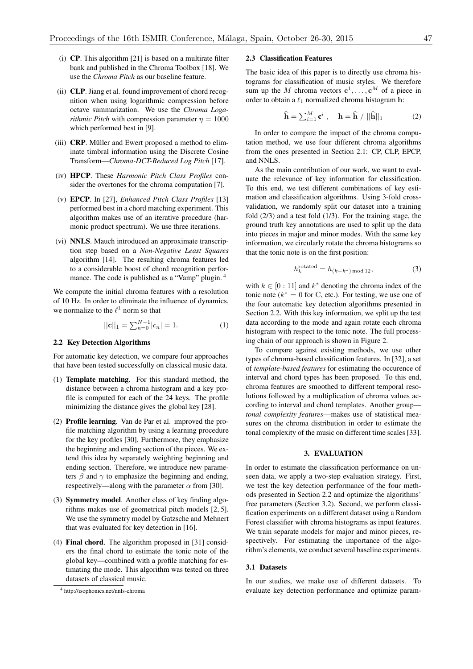- (i) CP. This algorithm [21] is based on a multirate filter bank and published in the Chroma Toolbox [18]. We use the *Chroma Pitch* as our baseline feature.
- (ii) CLP. Jiang et al. found improvement of chord recognition when using logarithmic compression before octave summarization. We use the *Chroma Logarithmic Pitch* with compression parameter  $\eta = 1000$ which performed best in [9].
- (iii)  $CRP$ . Müller and Ewert proposed a method to eliminate timbral information using the Discrete Cosine Transform—*Chroma-DCT-Reduced Log Pitch* [17].
- (iv) HPCP. These *Harmonic Pitch Class Profiles* consider the overtones for the chroma computation [7].
- (v) EPCP. In [27], *Enhanced Pitch Class Profiles* [13] performed best in a chord matching experiment. This algorithm makes use of an iterative procedure (harmonic product spectrum). We use three iterations.
- (vi) NNLS. Mauch introduced an approximate transcription step based on a *Non-Negative Least Squares* algorithm [14]. The resulting chroma features led to a considerable boost of chord recognition performance. The code is published as a "Vamp" plugin. <sup>4</sup>

We compute the initial chroma features with a resolution of 10 Hz. In order to eliminate the influence of dynamics, we normalize to the  $\ell^1$  norm so that

$$
||\mathbf{c}||_1 = \sum_{n=0}^{N-1} |c_n| = 1.
$$
 (1)

## 2.2 Key Detection Algorithms

For automatic key detection, we compare four approaches that have been tested successfully on classical music data.

- (1) Template matching. For this standard method, the distance between a chroma histogram and a key profile is computed for each of the 24 keys. The profile minimizing the distance gives the global key [28].
- (2) Profile learning. Van de Par et al. improved the profile matching algorithm by using a learning procedure for the key profiles [30]. Furthermore, they emphasize the beginning and ending section of the pieces. We extend this idea by separately weighting beginning and ending section. Therefore, we introduce new parameters  $\beta$  and  $\gamma$  to emphasize the beginning and ending, respectively—along with the parameter  $\alpha$  from [30].
- (3) Symmetry model. Another class of key finding algorithms makes use of geometrical pitch models [2, 5]. We use the symmetry model by Gatzsche and Mehnert that was evaluated for key detection in [16].
- (4) Final chord. The algorithm proposed in [31] considers the final chord to estimate the tonic note of the global key—combined with a profile matching for estimating the mode. This algorithm was tested on three datasets of classical music.

### 2.3 Classification Features

The basic idea of this paper is to directly use chroma histograms for classification of music styles. We therefore sum up the *M* chroma vectors  $c^1, \ldots, c^M$  of a piece in order to obtain a  $\ell_1$  normalized chroma histogram h:

$$
\widehat{\mathbf{h}} = \sum_{i=1}^{M} \mathbf{c}^i , \quad \mathbf{h} = \widehat{\mathbf{h}} / ||\widehat{\mathbf{h}}||_1
$$
 (2)

In order to compare the impact of the chroma computation method, we use four different chroma algorithms from the ones presented in Section 2.1: CP, CLP, EPCP, and NNLS.

As the main contribution of our work, we want to evaluate the relevance of key information for classification. To this end, we test different combinations of key estimation and classification algorithms. Using 3-fold crossvalidation, we randomly split our dataset into a training fold  $(2/3)$  and a test fold  $(1/3)$ . For the training stage, the ground truth key annotations are used to split up the data into pieces in major and minor modes. With the same key information, we circularly rotate the chroma histograms so that the tonic note is on the first position:

$$
h_k^{\text{rotated}} = h_{(k-k^*) \text{ mod } 12},\tag{3}
$$

with  $k \in [0 : 11]$  and  $k^*$  denoting the chroma index of the tonic note  $(k^* = 0$  for C, etc.). For testing, we use one of the four automatic key detection algorithms presented in Section 2.2. With this key information, we split up the test data according to the mode and again rotate each chroma histogram with respect to the tonic note. The full processing chain of our approach is shown in Figure 2.

To compare against existing methods, we use other types of chroma-based classification features. In [32], a set of *template-based features* for estimating the occurence of interval and chord types has been proposed. To this end, chroma features are smoothed to different temporal resolutions followed by a multiplication of chroma values according to interval and chord templates. Another group *tonal complexity features*—makes use of statistical measures on the chroma distribution in order to estimate the tonal complexity of the music on different time scales [33].

#### 3. EVALUATION

In order to estimate the classification performance on unseen data, we apply a two-step evaluation strategy. First, we test the key detection performance of the four methods presented in Section 2.2 and optimize the algorithms' free parameters (Section 3.2). Second, we perform classification experiments on a different dataset using a Random Forest classifier with chroma histograms as input features. We train separate models for major and minor pieces, respectively. For estimating the importance of the algorithm's elements, we conduct several baseline experiments.

## 3.1 Datasets

In our studies, we make use of different datasets. To evaluate key detection performance and optimize param-

<sup>4</sup> http://isophonics.net/nnls-chroma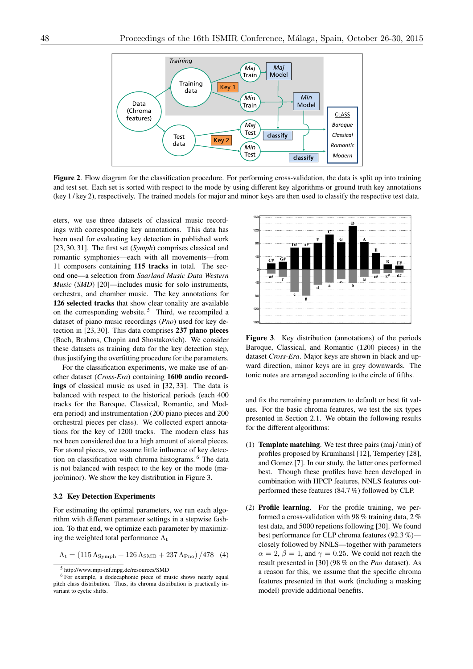

Figure 2. Flow diagram for the classification procedure. For performing cross-validation, the data is split up into training and test set. Each set is sorted with respect to the mode by using different key algorithms or ground truth key annotations (key 1 / key 2), respectively. The trained models for major and minor keys are then used to classify the respective test data.

eters, we use three datasets of classical music recordings with corresponding key annotations. This data has been used for evaluating key detection in published work [23, 30, 31]. The first set (*Symph*) comprises classical and romantic symphonies—each with all movements—from 11 composers containing 115 tracks in total. The second one—a selection from *Saarland Music Data Western Music* (*SMD*) [20]—includes music for solo instruments, orchestra, and chamber music. The key annotations for 126 selected tracks that show clear tonality are available on the corresponding website.<sup>5</sup> Third, we recompiled a dataset of piano music recordings (*Pno*) used for key detection in [23, 30]. This data comprises 237 piano pieces (Bach, Brahms, Chopin and Shostakovich). We consider these datasets as training data for the key detection step, thus justifying the overfitting procedure for the parameters.

For the classification experiments, we make use of another dataset (*Cross-Era*) containing 1600 audio recordings of classical music as used in [32, 33]. The data is balanced with respect to the historical periods (each 400 tracks for the Baroque, Classical, Romantic, and Modern period) and instrumentation (200 piano pieces and 200 orchestral pieces per class). We collected expert annotations for the key of 1200 tracks. The modern class has not been considered due to a high amount of atonal pieces. For atonal pieces, we assume little influence of key detection on classification with chroma histograms. <sup>6</sup> The data is not balanced with respect to the key or the mode (major/minor). We show the key distribution in Figure 3.

#### 3.2 Key Detection Experiments

For estimating the optimal parameters, we run each algorithm with different parameter settings in a stepwise fashion. To that end, we optimize each parameter by maximizing the weighted total performance  $\Lambda_t$ 

$$
\Lambda_{\rm t} = (115 \,\Lambda_{\rm Symph} + 126 \,\Lambda_{\rm SMD} + 237 \,\Lambda_{\rm Pno})/478 \quad (4)
$$



Figure 3. Key distribution (annotations) of the periods Baroque, Classical, and Romantic (1200 pieces) in the dataset *Cross-Era*. Major keys are shown in black and upward direction, minor keys are in grey downwards. The tonic notes are arranged according to the circle of fifths.

and fix the remaining parameters to default or best fit values. For the basic chroma features, we test the six types presented in Section 2.1. We obtain the following results for the different algorithms:

- (1) Template matching. We test three pairs (maj / min) of profiles proposed by Krumhansl [12], Temperley [28], and Gomez [7]. In our study, the latter ones performed best. Though these profiles have been developed in combination with HPCP features, NNLS features outperformed these features (84.7 %) followed by CLP.
- (2) Profile learning. For the profile training, we performed a cross-validation with 98 % training data, 2 % test data, and 5000 repetions following [30]. We found best performance for CLP chroma features (92.3 %) closely followed by NNLS—together with parameters  $\alpha = 2$ ,  $\beta = 1$ , and  $\gamma = 0.25$ . We could not reach the result presented in [30] (98 % on the *Pno* dataset). As a reason for this, we assume that the specific chroma features presented in that work (including a masking model) provide additional benefits.

<sup>5</sup> http://www.mpi-inf.mpg.de/resources/SMD

<sup>&</sup>lt;sup>6</sup> For example, a dodecaphonic piece of music shows nearly equal pitch class distribution. Thus, its chroma distribution is practically invariant to cyclic shifts.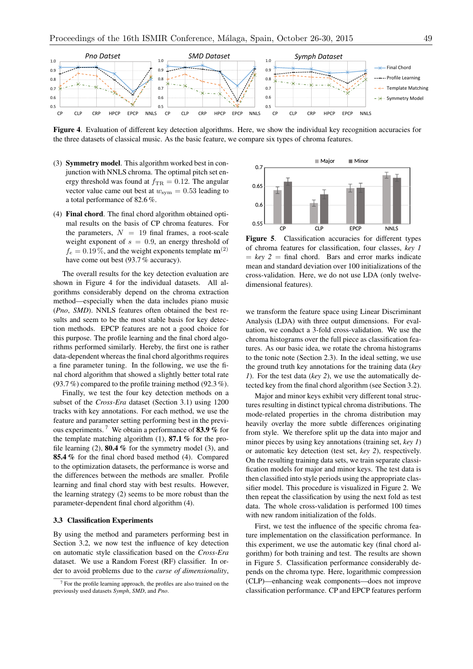

Figure 4. Evaluation of different key detection algorithms. Here, we show the individual key recognition accuracies for the three datasets of classical music. As the basic feature, we compare six types of chroma features.

- (3) Symmetry model. This algorithm worked best in conjunction with NNLS chroma. The optimal pitch set energy threshold was found at  $f_{\text{TR}} = 0.12$ . The angular vector value came out best at  $w_{sym} = 0.53$  leading to a total performance of 82.6 %.
- (4) Final chord. The final chord algorithm obtained optimal results on the basis of CP chroma features. For the parameters,  $N = 19$  final frames, a root-scale weight exponent of  $s = 0.9$ , an energy threshold of  $f_e = 0.19\%$ , and the weight exponents template  $\mathbf{m}^{(2)}$ have come out best (93.7 % accuracy).

The overall results for the key detection evaluation are shown in Figure 4 for the individual datasets. All algorithms considerably depend on the chroma extraction method—especially when the data includes piano music (*Pno*, *SMD*). NNLS features often obtained the best results and seem to be the most stable basis for key detection methods. EPCP features are not a good choice for this purpose. The profile learning and the final chord algorithms performed similarly. Hereby, the first one is rather data-dependent whereas the final chord algorithms requires a fine parameter tuning. In the following, we use the final chord algorithm that showed a slightly better total rate (93.7 %) compared to the profile training method (92.3 %).

Finally, we test the four key detection methods on a subset of the *Cross-Era* dataset (Section 3.1) using 1200 tracks with key annotations. For each method, we use the feature and parameter setting performing best in the previous experiments.<sup>7</sup> We obtain a performance of 83.9 % for the template matching algorithm  $(1)$ , 87.1 % for the profile learning  $(2)$ , **80.4** % for the symmetry model  $(3)$ , and 85.4 % for the final chord based method (4). Compared to the optimization datasets, the performance is worse and the differences between the methods are smaller. Profile learning and final chord stay with best results. However, the learning strategy (2) seems to be more robust than the parameter-dependent final chord algorithm (4).

#### 3.3 Classification Experiments

By using the method and parameters performing best in Section 3.2, we now test the influence of key detection on automatic style classification based on the *Cross-Era* dataset. We use a Random Forest (RF) classifier. In order to avoid problems due to the *curse of dimensionality*,



Figure 5. Classification accuracies for different types of chroma features for classification, four classes, *key 1*  $=$  *key*  $2 =$  final chord. Bars and error marks indicate mean and standard deviation over 100 initializations of the cross-validation. Here, we do not use LDA (only twelvedimensional features).

we transform the feature space using Linear Discriminant Analysis (LDA) with three output dimensions. For evaluation, we conduct a 3-fold cross-validation. We use the chroma histograms over the full piece as classification features. As our basic idea, we rotate the chroma histograms to the tonic note (Section 2.3). In the ideal setting, we use the ground truth key annotations for the training data (*key 1*). For the test data (*key 2*), we use the automatically detected key from the final chord algorithm (see Section 3.2).

Major and minor keys exhibit very different tonal structures resulting in distinct typical chroma distributions. The mode-related properties in the chroma distribution may heavily overlay the more subtle differences originating from style. We therefore split up the data into major and minor pieces by using key annotations (training set, *key 1*) or automatic key detection (test set, *key 2*), respectively. On the resulting training data sets, we train separate classification models for major and minor keys. The test data is then classified into style periods using the appropriate classifier model. This procedure is visualized in Figure 2. We then repeat the classification by using the next fold as test data. The whole cross-validation is performed 100 times with new random initialization of the folds.

First, we test the influence of the specific chroma feature implementation on the classification performance. In this experiment, we use the automatic key (final chord algorithm) for both training and test. The results are shown in Figure 5. Classification performance considerably depends on the chroma type. Here, logarithmic compression (CLP)—enhancing weak components—does not improve classification performance. CP and EPCP features perform

 $7$  For the profile learning approach, the profiles are also trained on the previously used datasets *Symph*, *SMD*, and *Pno*.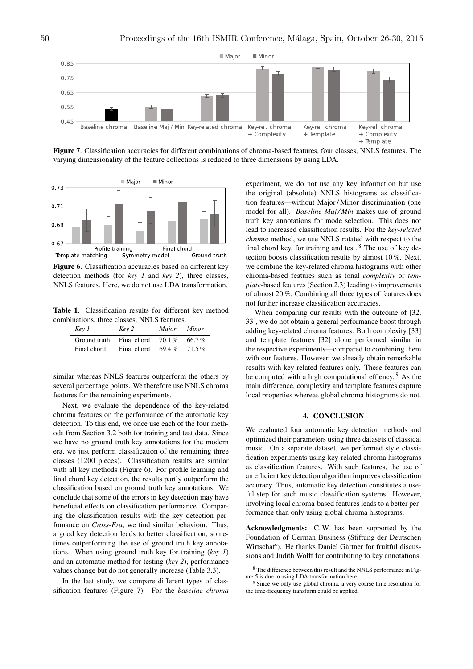

Figure 7. Classification accuracies for different combinations of chroma-based features, four classes, NNLS features. The varying dimensionality of the feature collections is reduced to three dimensions by using LDA.



Figure 6. Classification accuracies based on different key detection methods (for *key 1* and *key 2*), three classes, NNLS features. Here, we do not use LDA transformation.

Table 1. Classification results for different key method combinations, three classes, NNLS features.

| Key 1        | Key 2                     | Major | Minor    |
|--------------|---------------------------|-------|----------|
| Ground truth | Final chord $\vert$ 70.1% |       | $66.7\%$ |
| Final chord  | Final chord   69.4 $%$    |       | 71.5%    |

similar whereas NNLS features outperform the others by several percentage points. We therefore use NNLS chroma features for the remaining experiments.

Next, we evaluate the dependence of the key-related chroma features on the performance of the automatic key detection. To this end, we once use each of the four methods from Section 3.2 both for training and test data. Since we have no ground truth key annotations for the modern era, we just perform classification of the remaining three classes (1200 pieces). Classification results are similar with all key methods (Figure 6). For profile learning and final chord key detection, the results partly outperform the classification based on ground truth key annotations. We conclude that some of the errors in key detection may have beneficial effects on classification performance. Comparing the classification results with the key detection perfomance on *Cross-Era*, we find similar behaviour. Thus, a good key detection leads to better classification, sometimes outperforming the use of ground truth key annotations. When using ground truth key for training (*key 1*) and an automatic method for testing (*key 2*), performance values change but do not generally increase (Table 3.3).

In the last study, we compare different types of classification features (Figure 7). For the *baseline chroma*

experiment, we do not use any key information but use the original (absolute) NNLS histograms as classification features—without Major / Minor discrimination (one model for all). *Baseline Maj / Min* makes use of ground truth key annotations for mode selection. This does not lead to increased classification results. For the *key-related chroma* method, we use NNLS rotated with respect to the final chord key, for training and test.  $8$  The use of key detection boosts classification results by almost 10 %. Next, we combine the key-related chroma histograms with other chroma-based features such as tonal *complexity* or *template*-based features (Section 2.3) leading to improvements of almost 20 %. Combining all three types of features does not further increase classification accuracies.

When comparing our results with the outcome of [32, 33], we do not obtain a general performance boost through adding key-related chroma features. Both complexity [33] and template features [32] alone performed similar in the respective experiments—compared to combining them with our features. However, we already obtain remarkable results with key-related features only. These features can be computed with a high computational effiency. <sup>9</sup> As the main difference, complexity and template features capture local properties whereas global chroma histograms do not.

## 4. CONCLUSION

We evaluated four automatic key detection methods and optimized their parameters using three datasets of classical music. On a separate dataset, we performed style classification experiments using key-related chroma histograms as classification features. With such features, the use of an efficient key detection algorithm improves classification accuracy. Thus, automatic key detection constitutes a useful step for such music classification systems. However, involving local chroma-based features leads to a better performance than only using global chroma histograms.

Acknowledgments: C. W. has been supported by the Foundation of German Business (Stiftung der Deutschen Wirtschaft). He thanks Daniel Gärtner for fruitful discussions and Judith Wolff for contributing to key annotations.

<sup>8</sup> The difference between this result and the NNLS performance in Figure 5 is due to using LDA transformation here.

<sup>&</sup>lt;sup>9</sup> Since we only use global chroma, a very coarse time resolution for the time-frequency transform could be applied.